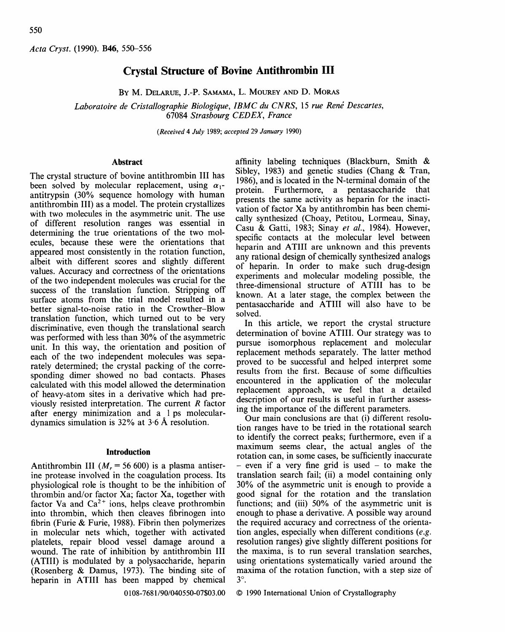*Acta Cryst.* (1990). B46, 550-556

# **Crystal Structure of Bovine Antithrombin III**

BY M. DELARUE, J.-P. SAMAMA, L. MOUREY AND D. MORAS

Laboratoire de Cristallographie Biologique, IBMC du CNRS, 15 rue René Descartes, 67084 *Strasbourg CEDEX, France* 

*(Received 4 July* 1989; *accepted* 29 *January* 1990)

# **Abstract**

The crystal structure of bovine antithrombin III has been solved by molecular replacement, using  $\alpha_1$ antitrypsin (30% sequence homology with human antithrombin III) as a model. The protein crystallizes with two molecules in the asymmetric unit. The use of different resolution ranges was essential in determining the true orientations of the two molecules, because these were the orientations that appeared most consistently in the rotation function, albeit with different scores and slightly different values. Accuracy and correctness of the orientations of the two independent molecules was crucial for the success of the translation function. Stripping off surface atoms from the trial model resulted in a better signal-to-noise ratio in the Crowther-Blow translation function, which turned out to be very discriminative, even though the translational search was performed with less than 30% of the asymmetric unit. In this way, the orientation and position of each of the two independent molecules was separately determined; the crystal packing of the corresponding dimer showed no bad contacts. Phases calculated with this model allowed the determination of heavy-atom sites in a derivative which had previously resisted interpretation. The current R factor after energy minimization and a l ps moleculardynamics simulation is  $32\%$  at  $3.6$  Å resolution.

# **Introduction**

Antithrombin III ( $M_r = 56,600$ ) is a plasma antiserine protease involved in the coagulation process. Its physiological role is thought to be the inhibition of thrombin and/or factor Xa; factor Xa, together with factor Va and  $Ca^{2+}$  ions, helps cleave prothrombin into thrombin, which then cleaves fibrinogen into fibrin (Furie & Furie, 1988). Fibrin then polymerizes in molecular nets which, together with activated platelets, repair blood vessel damage around a wound. The rate of inhibition by antithrombin III (ATIII) is modulated by a polysaccharide, heparin (Rosenberg & Damus, 1973). The binding site of heparin in ATIII has been mapped by chemical

affinity labeling techniques (Blackburn, Smith & Sibley, 1983) and genetic studies (Chang & Tran. 1986), and is located in the N-terminal domain of the protein. Furthermore, a pentasaccharide that presents the same activity as heparin for the inactivation of factor Xa by antithrombin has been chemically synthesized (Choay, Petitou, Lormeau, Sinay, Casu & Gatti, 1983; Sinay *et al.,* 1984). However, specific contacts at the molecular level between heparin and ATIII are unknown and this prevents any rational design of chemically synthesized analogs of heparin. In order to make such drug-design experiments and molecular modeling possible, the three-dimensional structure of ATIII has to be known. At a later stage, the complex between the pentasaccharide and ATIII will also have to be solved.

In this article, we report the crystal structure determination of bovine ATIII. Our strategy was to pursue isomorphous replacement and molecular replacement methods separately. The latter method proved to be successful and helped interpret some results from the first. Because of some difficulties encountered in the application of the molecular replacement approach, we feel that a detailed description of our results is useful in further assessing the importance of the different parameters.

Our main conclusions are that (i) different resolution ranges have to be tried in the rotational search to identify the correct peaks; furthermore, even if a maximum seems clear, the actual angles of the rotation can, in some cases, be sufficiently inaccurate  $-$  even if a very fine grid is used  $-$  to make the translation search fail; (ii) a model containing only 30% of the asymmetric unit is enough to provide a good signal for the rotation and the translation functions; and (iii) 50% of the asymmetric unit is enough to phase a derivative. A possible way around the required accuracy and correctness of the orientation angles, especially when different conditions *(e.g.*  resolution ranges) give slightly different positions for the maxima, is to run several translation searches, using orientations systematically varied around the maxima of the rotation function, with a step size of  $3^\circ$ .

0108-7681/90/040550-07503.00

© 1990 International Union of Crystallography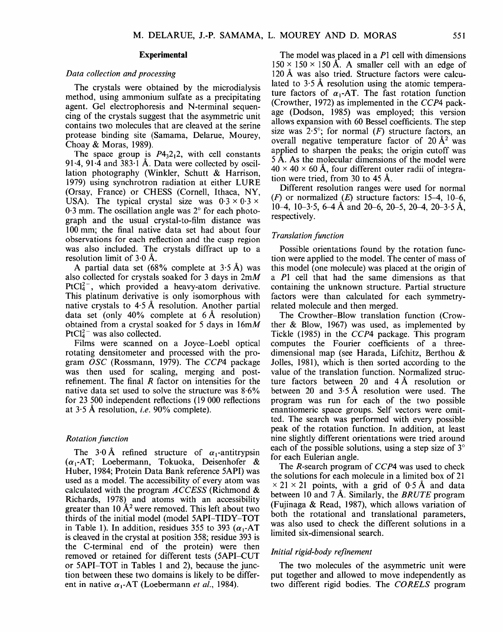## **Experimental**

# *Data collection and processing*

The crystals were obtained by the microdialysis method, using ammonium sulfate as a precipitating agent. Gel electrophoresis and N-terminal sequencing of the crystals suggest that the asymmetric unit contains two molecules that are cleaved at the serine protease binding site (Samama, Delarue, Mourey, Choay & Moras, 1989).

The space group is  $P_14, 2, 2$ , with cell constants 91.4, 91.4 and  $383.1$  Å. Data were collected by oscillation photography (Winkler, Schutt & Harrison, 1979) using synchrotron radiation at either LURE (Orsay, France) or CHESS (Cornell, Ithaca, NY, USA). The typical crystal size was  $0.3 \times 0.3 \times$  $0.3$  mm. The oscillation angle was  $2^{\circ}$  for each photograph and the usual crystal-to-film distance was 100 mm; the final native data set had about four observations for each reflection and the cusp region was also included. The crystals diffract up to a resolution limit of  $3.0 \text{ Å}.$ 

A partial data set (68% complete at  $3.5~\text{\AA}$ ) was also collected for crystals soaked for 3 days in 2mM PtCl $^{2-}$ , which provided a heavy-atom derivative. This platinum derivative is only isomorphous with native crystals to  $4.5 \text{ Å}$  resolution. Another partial data set (only  $40\%$  complete at 6 Å resolution) obtained from a crystal soaked for 5 days in  $16mM$  $PtCl<sub>4</sub><sup>2-</sup>$  was also collected.

Films were scanned on a Joyce-Loebl optical rotating densitometer and processed with the program *OSC* (Rossmann, 1979). The *CCP4* package was then used for scaling, merging and postrefinement. The final  *factor on intensities for the* native data set used to solve the structure was  $8.6\%$ for 23 500 independent reflections (19 000 reflections at 3.5 A resolution, *i.e.* 90% complete).

# *Rotation function*

The 3.0 Å refined structure of  $\alpha_1$ -antitrypsin  $(\alpha_1$ -AT; Loebermann, Tokuoka, Deisenhofer & Huber, 1984; Protein Data Bank reference 5API) was used as a model. The accessibility of every atom was calculated with the program *ACCESS* (Richmond & Richards, 1978) and atoms with an accessibility greater than 10  $A^2$  were removed. This left about two thirds of the initial model (model 5API-TIDY-TOT in Table 1). In addition, residues 355 to 393 ( $\alpha_1$ -AT is cleaved in the crystal at position 358; residue 393 is the C-terminal end of the protein) were then removed or retained for different tests (5API-CUT or 5API-TOT in Tables 1 and 2), because the junction between these two domains is likely to be different in native  $\alpha_1$ -AT (Loebermann *et al.*, 1984).

The model was placed in a P1 cell with dimensions  $150 \times 150 \times 150~\text{\AA}$ . A smaller cell with an edge of 120 A was also tried. Structure factors were calculated to  $3.5 \text{ Å}$  resolution using the atomic temperature factors of  $\alpha_1$ -AT. The fast rotation function (Crowther, 1972) as implemented in the *CCP4* package (Dodson, 1985) was employed; this version allows expansion with 60 Bessel coefficients. The step size was  $2.5^{\circ}$ ; for normal (F) structure factors, an overall negative temperature factor of  $20 \text{ Å}^2$  was applied to sharpen the peaks; the origin cutoff was 5 A. As the molecular dimensions of the model were  $40 \times 40 \times 60$  Å, four different outer radii of integration were tried, from 30 to 45 A.

Different resolution ranges were used for normal  $(F)$  or normalized  $(E)$  structure factors: 15-4, 10-6, 10-4, 10-3.5, 6-4 Å and 20-6, 20-5, 20-4, 20-3.5 Å. respectively.

## *Translation function*

Possible orientations found by the rotation function were applied to the model. The center of mass of this model (one molecule) was placed at the origin of a P1 cell that had the same dimensions as that containing the unknown structure. Partial structure factors were than calculated for each symmetryrelated molecule and then merged.

The Crowther-Blow translation function (Crowther & Blow, 1967) was used, as implemented by Tickle (1985) in the *CCP4* package. This program computes the Fourier coefficients of a threedimensional map (see Harada, Lifchitz, Berthou & Jolles, 1981), which is then sorted according to the value of the translation function. Normalized structure factors between 20 and  $4 \text{ Å}$  resolution or between 20 and  $3.5 \text{ Å}$  resolution were used. The program was run for each of the two possible enantiomeric space groups. Self vectors were omitted. The search was performed with every possible peak of the rotation function. In addition, at least nine slightly different orientations were tried around each of the possible solutions, using a step size of  $3^\circ$ for each Eulerian angle.

The R-search program of *CCP4* was used to check the solutions for each molecule in a limited box of 21  $\times$  21  $\times$  21 points, with a grid of 0.5 Å and data between 10 and 7 Å. Similarly, the *BRUTE* program (Fujinaga & Read, 1987), which allows variation of both the rotational and translational parameters, was also used to check the different solutions in a limited six-dimensional search.

# *Initial rigid-body refinement*

The two molecules of the asymmetric unit were put together and allowed to move independently as two different rigid bodies. The *CORELS* program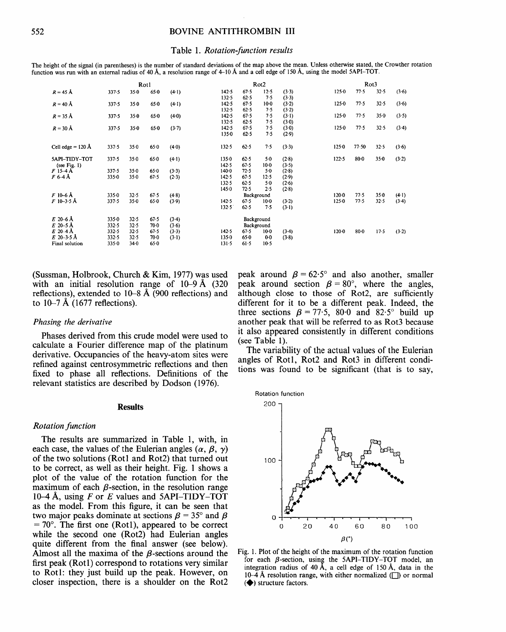#### **Table 1.** *Rotation-function results*

**The height of the signal (in parentheses) is the number of standard deviations of the map above the mean. Unless otherwise stated, the Crowther rotation function was run with an external radius of** 40 A,, a **resolution range of** 4-10 A and a **cell edge of** 150 A, **using the model** 5API-TOT.

|                                               | Rotl                        |                      |                      |                    | Rot <sub>2</sub>                |                            |                             |                         | Rot <sub>3</sub>       |              |                  |                    |
|-----------------------------------------------|-----------------------------|----------------------|----------------------|--------------------|---------------------------------|----------------------------|-----------------------------|-------------------------|------------------------|--------------|------------------|--------------------|
| $R = 45 \text{ Å}$                            | 337.5                       | $35 - 0$             | $65 - 0$             | $(4-1)$            | 142.5<br>132.5                  | 67.5<br>62.5               | 12.5<br>7.5                 | (3.3)                   | $125 - 0$              | 77.5         | 32.5             | (3.6)              |
| $R = 40 \text{ Å}$                            | 337.5                       | 35.0                 | 650                  | $(4-1)$            | 142.5                           | 67.5                       | $10-0$<br>7.5               | (3.3)<br>(3.2)          | 125.0                  | 77.5         | 32.5             | (3.6)              |
| $R = 35 \text{ Å}$                            | 337.5                       | 35.0                 | 650                  | (4.0)              | 132.5<br>142.5                  | 62.5<br>67.5               | 7.5<br>7.5                  | (3.2)<br>$(3-1)$        | $125 - 0$              | 77.5         | $35 - 0$         | (3.5)              |
| $R = 30 \text{ Å}$                            | 337.5                       | 350                  | 65.0                 | (3.7)              | 132.5<br>142.5<br>1350          | 62.5<br>67.5<br>62.5       | 7.5<br>7.5                  | (3.0)<br>(3.0)<br>(2.9) | 1250                   | 77.5         | 32.5             | (3.4)              |
| Cell edge = $120 \text{ Å}$                   | 337.5                       | 350                  | 65.0                 | $(4-0)$            | $132 - 5$                       | $62 - 5$                   | 7.5                         | (3.3)                   | $125 - 0$              | 77.50        | 32.5             | (3.6)              |
|                                               |                             |                      |                      |                    |                                 |                            |                             |                         |                        |              |                  |                    |
| <b>5API-TIDY-TOT</b><br>(see Fig. $1$ )       | 337.5                       | 350                  | $65 - 0$             | $(4-1)$            | 135.0<br>142.5                  | 62.5<br>67.5               | $5 - 0$<br>$10-0$           | (2.8)<br>(3.5)          | 122.5                  | 80.0         | $35 - 0$         | (3.2)              |
| F 15-4 Å                                      | 337.5                       | 35.0                 | $65 - 0$             | (3.3)              | 140.0                           | 72.5                       | $5-0$                       | (2.8)                   |                        |              |                  |                    |
| F 6 4 Å                                       | $335 - 0$                   | 35.0                 | 67.5                 | $(2-3)$            | 142.5<br>132.5                  | 67.5<br>62.5               | 12.5<br>5.0                 | (2.9)<br>(2.6)          |                        |              |                  |                    |
|                                               |                             |                      |                      |                    | 1450                            | 72.5                       | 2.5                         | (2.8)                   |                        |              |                  |                    |
| F 10–6 Å<br>$F$ 10–3.5 Å                      | 335.0<br>337.5              | 32.5<br>$35 - 0$     | 67.5<br>65.0         | (4.8)<br>(3.9)     | 142.5<br>132.5                  | 67.5<br>62.5               | Background<br>$10-0$<br>7.5 | (3.2)<br>(3.1)          | $120 - 0$<br>$125 - 0$ | 77.5<br>77.5 | $35 - 0$<br>32.5 | $(4-1)$<br>$(3-4)$ |
| $E$ 20–6 Å<br>$E$ 20-5 Å                      | $335 - 0$<br>332.5          | 32.5<br>32.5         | 67.5<br>70.0         | (3.4)<br>(3.6)     |                                 |                            | Background<br>Background    |                         |                        |              |                  |                    |
| $E$ 20 -4 Å<br>$E$ 20-3.5 Å<br>Final solution | $332 - 5$<br>332.5<br>335.0 | 32.5<br>32.5<br>34.0 | 67.5<br>70 0<br>65.0 | $(3-3)$<br>$(3-1)$ | 142.5<br>$135 - 0$<br>$131 - 5$ | $67 - 5$<br>$65-0$<br>61.5 | $10-0$<br>0.0<br>$10-5$     | (3.4)<br>(3.8)          | $120 - 0$              | $80-0$       | 17.5             | (3.2)              |
|                                               |                             |                      |                      |                    |                                 |                            |                             |                         |                        |              |                  |                    |

**(Sussman, Holbrook, Church & Kim, 1977) was used**  with an initial resolution range of  $10-9$  Å  $(320)$ **reflections), extended to 10-8 A (900 reflections) and**  to  $10-7 \text{ Å}$  (1677 reflections).

#### *Phasing the derivative*

**Phases derived from this crude model were used to calculate a Fourier difference map of the platinum derivative. Occupancies of the heavy-atom sites were refined against centrosymmetric reflections and then fixed to phase all reflections. Definitions of the relevant statistics are described by Dodson (1976).** 

### **Results**

## *Rotation function*

**The results are summarized in Table 1, with, in**  each case, the values of the Eulerian angles  $(\alpha, \beta, \gamma)$ **of the two solutions (Rot l and Rot2) that turned out to be correct, as well as their height. Fig. 1 shows a plot of the value of the rotation function for the**  maximum of each  $\beta$ -section, in the resolution range **10-4 A, using F or E values and 5API-TIDY-TOT as the model. From this figure, it can be seen that**  two major peaks dominate at sections  $\beta = 35^{\circ}$  and  $\beta$  $= 70^{\circ}$ . The first one (Rot1), appeared to be correct **while the second one (Rot2) had Eulerian angles quite different from the final answer (see below).**  Almost all the maxima of the  $\beta$ -sections around the **first peak (Rotl) correspond to rotations very similar to Rotl: they just build up the peak. However, on closer inspection, there is a shoulder on the Rot2** 

peak around  $\beta = 62.5^{\circ}$  and also another, smaller **peak around section**  $\beta = 80^{\circ}$ **, where the angles, although close to those of Rot2, are sufficiently different for it to be a different peak. Indeed, the**  three sections  $\beta = 77.5$ , 80.0 and 82.5° build up **another peak that will be referred to as Rot3 because it also appeared consistently in different conditions (see Table 1).** 

**The variability of the actual values of the Eulerian**  angles of Rot1, Rot2 and Rot3 in different condi**tions was found to be significant (that is to say,** 



Fig. 1. **Plot of the height of the maximum of the rotation function**  for each  $\beta$ -section, using the 5API-TIDY-TOT model, an integration radius of 40 Å, a cell edge of 150 Å, data in the  $10-\overline{4}$  Å resolution range, with either normalized ( $\Box$ ) or normal  $\left( \blacklozenge \right)$  structure factors.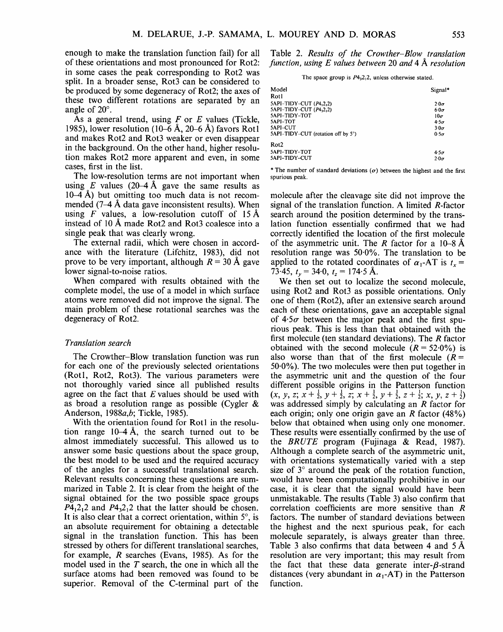enough to make the translation function fail) for all of these orientations and most pronounced for Rot2: in some cases the peak corresponding to Rot2 was split. In a broader sense, Rot3 can be considered to be produced by some degeneracy of Rot2; the axes of these two different rotations are separated by an angle of  $20^\circ$ .

As a general trend, using  $F$  or  $E$  values (Tickle, 1985), lower resolution (10–6 Å, 20–6 Å) favors Rotl and makes Rot2 and Rot3 weaker or even disappear in the background. On the other hand, higher resolution makes Rot2 more apparent and even, in some cases, first in the list.

The low-resolution terms are not important when using E values (20–4 Å gave the same results as  $10-4$  Å) but omitting too much data is not recommended  $(7-4 \text{ Å}$  data gave inconsistent results). When using F values, a low-resolution cutoff of 15 Å instead of 10 A made Rot2 and Rot3 coalesce into a single peak that was clearly wrong.

The external radii, which were chosen in accordance with the literature (Lifchitz, 1983), did not prove to be very important, although  $R = 30$  Å gave lower signal-to-noise ratios.

When compared with results obtained with the complete model, the use of a model in which surface atoms were removed did not improve the signal. The main problem of these rotational searches was the degeneracy of Rot2.

# *Translation search*

The Crowther-Blow translation function was run for each one of the previously selected orientations (Rot1, Rot2, Rot3). The various parameters were not thoroughly varied since all published results agree on the fact that  $E$  values should be used with as broad a resolution range as possible (Cygler & Anderson, 1988a,b; Tickle, 1985).

With the orientation found for Rotl in the resolution range 10-4 A, the search turned out to be almost immediately successful. This allowed us to answer some basic questions about the space group, the best model to be used and the required accuracy of the angles for a successful translational search. Relevant results concerning these questions are summarized in Table 2. It is clear from the height of the signal obtained for the two possible space groups  $P_1^2P_2^2$  and  $P_3^2P_1^2$  that the latter should be chosen. It is also clear that a correct orientation, within  $5^\circ$ , is an absolute requirement for obtaining a detectable signal in the translation function. This has been stressed by others for different translational searches, for example, R searches (Evans, 1985). As for the model used in the  $T$  search, the one in which all the surface atoms had been removed was found to be superior. Removal of the C-terminal part of the

Table 2. *Results of the Crowther-Blow translation function, using E values between* 20 *and* 4 Å *resolution* 

The space group is  $P4_32_12$ , unless otherwise stated.

| Model                              | Signal*     |
|------------------------------------|-------------|
| Rotl                               |             |
| 5API-TIDY-CUT (P4,2,2)             | $2.0\sigma$ |
| 5API-TIDY-CUT (P4,2,2)             | $6.0\sigma$ |
| 5API-TIDY-TOT                      | $10\sigma$  |
| 5API-TOT                           | $4.5\sigma$ |
| 5API–CUT                           | $3.0\sigma$ |
| 5API-TIDY-CUT (rotation off by 5°) | $0.5\sigma$ |
| Rot <sub>2</sub>                   |             |
| 5API-TIDY-TOT                      | $4.5\sigma$ |
| 5API-TIDY-CUT                      | $2.0\sigma$ |

\* The number of standard deviations  $(\sigma)$  between the highest and the first spurious peak.

molecule after the cleavage site did not improve the signal of the translation function. A limited R-factor search around the position determined by the translation function essentially confirmed that we had correctly identified the location of the first molecule of the asymmetric unit. The R factor for a 10-8 Å resolution range was 50.0%. The translation to be applied to the rotated coordinates of  $\alpha_1$ -AT is  $t_r =$ 73.45,  $t_v = 34.0$ ,  $t_z = 174.5$  Å.

We then set out to localize the second molecule, using Rot2 and Rot3 as possible orientations. Only one of them (Rot2), after an extensive search around each of these orientations, gave an acceptable signal of  $4.5\sigma$  between the major peak and the first spurious peak. This is less than that obtained with the first molecule (ten standard deviations). The  $R$  factor obtained with the second molecule  $(R = 52.0\%)$  is also worse than that of the first molecule  $(R =$  $50.0\%$ ). The two molecules were then put together in the asymmetric unit and the question of the four different possible origins in the Patterson function  $(x, y, z; x+\frac{1}{2}, y+\frac{1}{2}, z; x+\frac{1}{2}, y+\frac{1}{2}, z+\frac{1}{2}; x, y, z+\frac{1}{2})$ was addressed simply by calculating an R factor for each origin; only one origin gave an R factor  $(48\%)$ below that obtained when using only one monomer. These results were essentially confirmed by the use of the *BRUTE* program (Fujinaga & Read, 1987). Although a complete search of the asymmetric unit, with orientations systematically varied with a step size of  $3^\circ$  around the peak of the rotation function, would have been computationally prohibitive in our case, it is clear that the signal would have been unmistakable. The results (Table 3) also confirm that correlation coefficients are more sensitive than R factors. The number of standard deviations between the highest and the next spurious peak, for each molecule separately, is always greater than three. Table 3 also confirms that data between 4 and 5 A resolution are very important; this may result from the fact that these data generate inter- $\beta$ -strand distances (very abundant in  $\alpha_1$ -AT) in the Patterson function.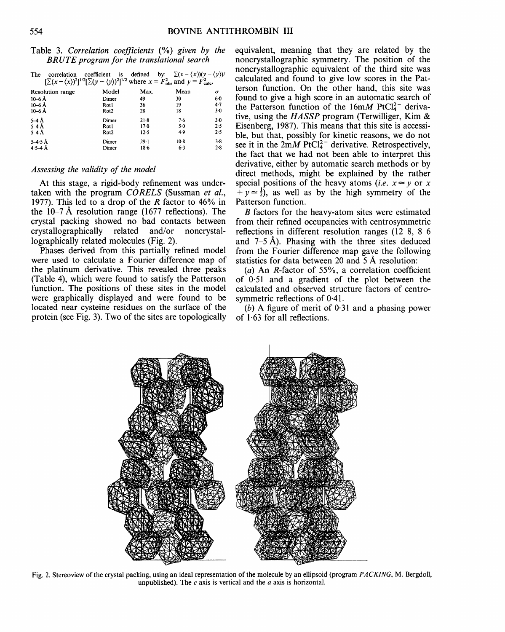# Table 3. *Correlation coefficients* (%) *given by the BRUTE program for the translational search*

| The<br>correlation<br>$[\Sigma(x - \langle x \rangle)^2]^{1/2} [\Sigma(y - \langle y \rangle)^2]^{1/2}$ where $x = F_{obs}^2$ and $y = F_{calc}^2$ . | coefficient is   |        | defined by: $\sum (x - \langle x \rangle)(y - \langle y \rangle)$ |                       |
|------------------------------------------------------------------------------------------------------------------------------------------------------|------------------|--------|-------------------------------------------------------------------|-----------------------|
| <b>Resolution range</b>                                                                                                                              | Model            | Max.   | Mean                                                              | $\boldsymbol{\sigma}$ |
| 10–6 Å                                                                                                                                               | Dimer            | 49     | 30                                                                | 6.0                   |
| 10-6Å                                                                                                                                                | Rotl             | 36     | 19                                                                | 4.7                   |
| $10-6$ Å                                                                                                                                             | Rot <sub>2</sub> | 28     | 18                                                                | 30                    |
| 5–4 Å                                                                                                                                                | Dimer            | 21.8   | $7-6$                                                             | 3.0                   |
| $5-4$ Å                                                                                                                                              | Rotl             | 170    | $5-0$                                                             | 2.5                   |
| $5-4$ Å                                                                                                                                              | Rot <sub>2</sub> | 12.5   | 4.9                                                               | 2.5                   |
| $5 - 4.5$ Å                                                                                                                                          | Dimer            | $29-1$ | $10-8$                                                            | $3-8$                 |
| $4.5 - 4$ Å                                                                                                                                          | Dimer            | 18.6   | 6.3                                                               | 2.8                   |

# *Assessing the validity of the model*

At this stage, a rigid-body refinement was undertaken with the program *CORELS* (Sussman *et al.,*  1977). This led to a drop of the R factor to  $46\%$  in the  $10-7$  Å resolution range (1677 reflections). The crystal packing showed no bad contacts between crystallographically related and/or noncrystallographically related molecules (Fig. 2).

Phases derived from this partially refined model were used to calculate a Fourier difference map of the platinum derivative. This revealed three peaks (Table 4), which were found to satisfy the Patterson function. The positions of these sites in the model were graphically displayed and were found to be located near cysteine residues on the surface of the protein (see Fig. 3). Two of the sites are topologically

equivalent, meaning that they are related by the noncrystallographic symmetry. The position of the noncrystallographic equivalent of the third site was calculated and found to give low scores in the Patterson function. On the other hand, this site was found to give a high score in an automatic search of the Patterson function of the  $16mM$  PtCl<sup>2-</sup> derivative, using the *HA SSP* program (Terwilliger, Kim & Eisenberg, 1987). This means that this site is accessible, but that, possibly for kinetic reasons, we do not see it in the  $2mM$  PtCl<sub>4</sub><sup>-</sup> derivative. Retrospectively, the fact that we had not been able to interpret this derivative, either by automatic search methods or by direct methods, might be explained by the rather special positions of the heavy atoms *(i.e.*  $x \approx y$  or x  $+y \approx \frac{1}{2}$ , as well as by the high symmetry of the Patterson function.

B factors for the heavy-atom sites were estimated from their refined occupancies with centrosymmetric reflections in different resolution ranges (12-8, 8-6 and  $7-5$  Å). Phasing with the three sites deduced from the Fourier difference map gave the following statistics for data between 20 and 5 A resolution:

(a) An R-factor of 55%, a correlation coefficient of 0.51 and a gradient of the plot between the calculated and observed structure factors of centrosymmetric reflections of 0.41.

(b) A figure of merit of  $0.31$  and a phasing power of 1.63 for all reflections.



Fig. 2. Stereoview of the crystal packing, using an ideal representation of the molecule by an ellipsoid (program *PACKING,* M. Bergdoll, unpublished). The  $c$  axis is vertical and the  $a$  axis is horizontal.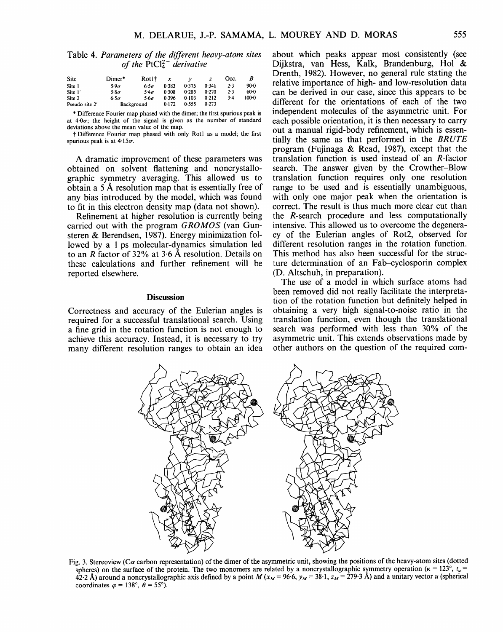Table 4. *Parameters of the different heavy-atom sites of the*  $\text{PtCl}_4^{2-}$  *derivative* 

| <b>Site</b>    | Dimer*       | Rot1†       | x     |       |       | Occ. | В       |
|----------------|--------------|-------------|-------|-------|-------|------|---------|
| Site 1         | 5.9 $\sigma$ | $6.5\sigma$ | 0.383 | 0.375 | 0.341 | 2.3  | $90-0$  |
| Site 1'        | $5.8\sigma$  | $5.4\sigma$ | 0.308 | 0.285 | 0.270 | 2.3  | $60-0$  |
| Site 2         | $6.5\sigma$  | $5.6\sigma$ | 0.396 | 0.103 | 0.212 | ٦٠4  | $100-0$ |
| Pseudo site 2' | Background   | 0.172       | 0.555 | 0.273 |       |      |         |

\* Difference Fourier map phased with the dimer; the first spurious peak is at  $4.0\sigma$ ; the height of the signal is given as the number of standard deviations above the mean value of the map.

f Difference Fourier map phased with only Rotl as a model; the first spurious peak is at  $4.15\sigma$ .

A dramatic improvement of these parameters was obtained on solvent flattening and noncrystallographic symmetry averaging. This allowed us to obtain a 5 A resolution map that is essentially free of any bias introduced by the model, which was found to fit in this electron density map (data not shown).

Refinement at higher resolution is currently being carried out with the program *GROMOS* (van Gunsteren & Berendsen, 1987). Energy minimization followed by a 1 ps molecular-dynamics simulation led to an R factor of 32% at 3.6 A resolution. Details on these calculations and further refinement will be reported elsewhere.

### **Discussion**

Correctness and accuracy of the Eulerian angles is required for a successful translational search. Using a fine grid in the rotation function is not enough to achieve this accuracy. Instead, it is necessary to try many different resolution ranges to obtain an idea about which peaks appear most consistently (see Dijkstra, van Hess, Kalk, Brandenburg, Hol & Drenth, 1982). However, no general rule stating the relative importance of high- and low-resolution data can be derived in our case, since this appears to be different for the orientations of each of the two independent molecules of the asymmetric unit. For each possible orientation, it is then necessary to carry out a manual rigid-body refinement, which is essentially the same as that performed in the *BRUTE*  program (Fujinaga & Read, 1987), except that the translation function is used instead of an R-factor search. The answer given by the Crowther-Blow translation function requires only one resolution range to be used and is essentially unambiguous, with only one major peak when the orientation is correct. The result is thus much more clear cut than the R-search procedure and less computationally intensive. This allowed us to overcome the degeneracy of the Eulerian angles of Rot2, observed for different resolution ranges in the rotation function. This method has also been successful for the structure determination of an Fab-cyclosporin complex (D. Altschuh, in preparation).

The use of a model in which surface atoms had been removed did not really facilitate the interpretation of the rotation function but definitely helped in obtaining a very high signal-to-noise ratio in the translation function, even though the translational search was performed with less than 30% of the asymmetric unit. This extends observations made by other authors on the question of the required com-



Fig. 3. Stereoview (C $\alpha$  carbon representation) of the dimer of the asymmetric unit, showing the positions of the heavy-atom sites (dotted spheres) on the surface of the protein. The two monomers are related by a noncrystallographic symmetry operation ( $\kappa = 123^\circ$ ,  $t_u =$ 42.2 Å) around a noncrystallographic axis defined by a point M ( $x_M$  = 96.6,  $y_M$  = 38.1,  $z_M$  = 279.3 Å) and a unitary vector u (spherical coordinates  $\varphi = 138^\circ, \ \theta = 55^\circ$ .